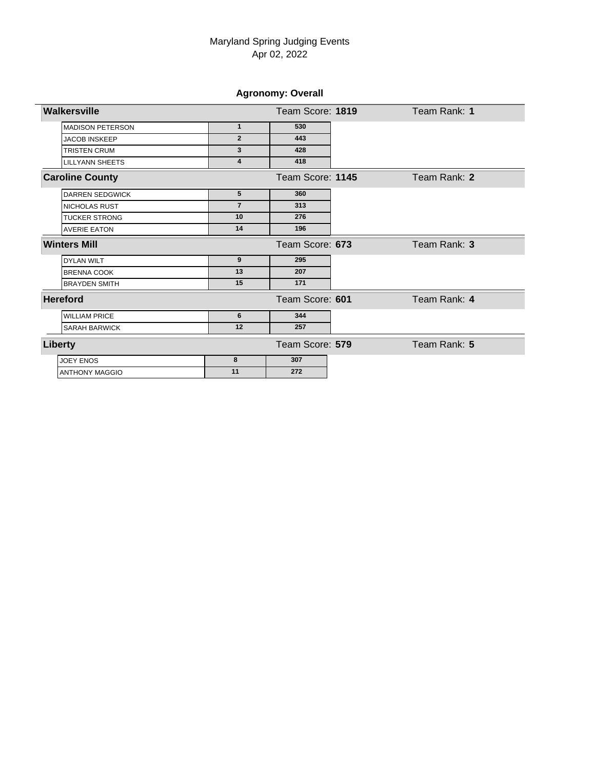**Agronomy: Overall**

| Walkersville            |                         | Team Score: 1819 | Team Rank: 1 |
|-------------------------|-------------------------|------------------|--------------|
| <b>MADISON PETERSON</b> | $\mathbf{1}$            | 530              |              |
| <b>JACOB INSKEEP</b>    | $\overline{2}$          | 443              |              |
| <b>TRISTEN CRUM</b>     | 3                       | 428              |              |
| <b>LILLYANN SHEETS</b>  | $\overline{\mathbf{4}}$ | 418              |              |
| <b>Caroline County</b>  |                         | Team Score: 1145 | Team Rank: 2 |
| <b>DARREN SEDGWICK</b>  | 5                       | 360              |              |
| <b>NICHOLAS RUST</b>    | $\overline{7}$          | 313              |              |
| <b>TUCKER STRONG</b>    | 10                      | 276              |              |
| <b>AVERIE EATON</b>     | 14                      | 196              |              |
| <b>Winters Mill</b>     |                         | Team Score: 673  | Team Rank: 3 |
| <b>DYLAN WILT</b>       | 9                       | 295              |              |
| <b>BRENNA COOK</b>      | 13                      | 207              |              |
| <b>BRAYDEN SMITH</b>    | 15                      | 171              |              |
| <b>Hereford</b>         |                         | Team Score: 601  | Team Rank: 4 |
| <b>WILLIAM PRICE</b>    | 6                       | 344              |              |
| <b>SARAH BARWICK</b>    | 12                      | 257              |              |
| Liberty                 |                         | Team Score: 579  | Team Rank: 5 |
| <b>JOEY ENOS</b>        | 8                       | 307              |              |
| <b>ANTHONY MAGGIO</b>   | 11                      | 272              |              |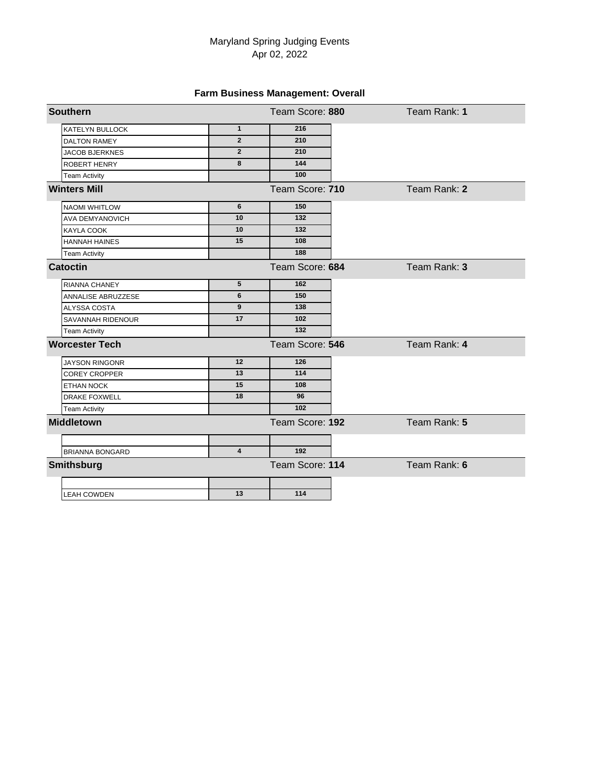# **Farm Business Management: Overall**

| <b>Southern</b>        |                 | Team Score: 880 | Team Rank: 1 |  |
|------------------------|-----------------|-----------------|--------------|--|
| <b>KATELYN BULLOCK</b> | $\mathbf{1}$    | 216             |              |  |
| <b>DALTON RAMEY</b>    | $\overline{2}$  | 210             |              |  |
| <b>JACOB BJERKNES</b>  | $\overline{2}$  | 210             |              |  |
| <b>ROBERT HENRY</b>    | 8               | 144             |              |  |
| <b>Team Activity</b>   |                 | 100             |              |  |
| <b>Winters Mill</b>    |                 | Team Score: 710 | Team Rank: 2 |  |
| <b>NAOMI WHITLOW</b>   | $6\phantom{1}6$ | 150             |              |  |
| <b>AVA DEMYANOVICH</b> | 10              | 132             |              |  |
| KAYLA COOK             | 10              | 132             |              |  |
| <b>HANNAH HAINES</b>   | 15              | 108             |              |  |
| <b>Team Activity</b>   |                 | 188             |              |  |
| <b>Catoctin</b>        |                 | Team Score: 684 | Team Rank: 3 |  |
| <b>RIANNA CHANEY</b>   | $5\phantom{.0}$ | 162             |              |  |
| ANNALISE ABRUZZESE     | 6               | 150             |              |  |
| ALYSSA COSTA           | 9               | 138             |              |  |
| SAVANNAH RIDENOUR      | 17              | 102             |              |  |
| <b>Team Activity</b>   |                 | 132             |              |  |
| <b>Worcester Tech</b>  |                 | Team Score: 546 | Team Rank: 4 |  |
| <b>JAYSON RINGONR</b>  | 12              | 126             |              |  |
| <b>COREY CROPPER</b>   | 13              | 114             |              |  |
| <b>ETHAN NOCK</b>      | 15              | 108             |              |  |
| <b>DRAKE FOXWELL</b>   | 18              | 96              |              |  |
| <b>Team Activity</b>   |                 | 102             |              |  |
| <b>Middletown</b>      |                 | Team Score: 192 | Team Rank: 5 |  |
|                        | $\overline{4}$  | 192             |              |  |
| <b>BRIANNA BONGARD</b> |                 |                 |              |  |
| <b>Smithsburg</b>      |                 | Team Score: 114 | Team Rank: 6 |  |
| <b>LEAH COWDEN</b>     | 13              | 114             |              |  |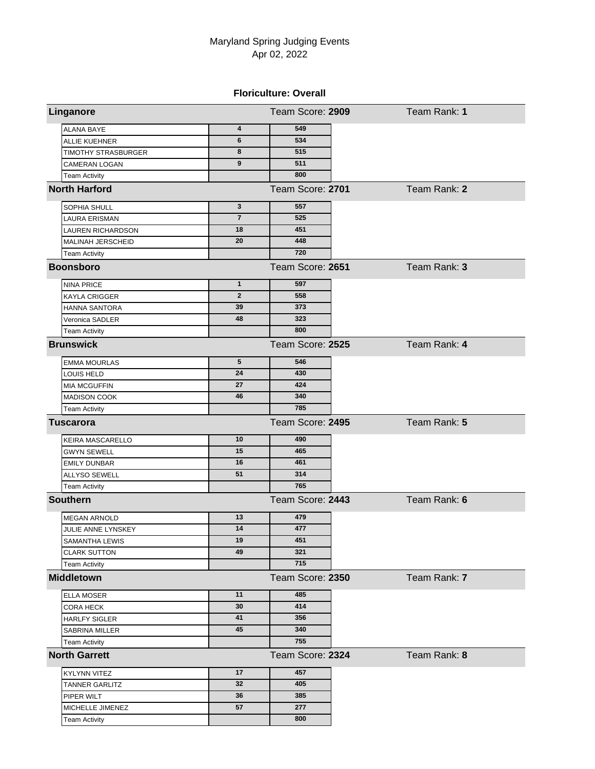### **Floriculture: Overall**

| Linganore                  |                         | Team Score: 2909 | Team Rank: 1 |
|----------------------------|-------------------------|------------------|--------------|
| <b>ALANA BAYE</b>          | $\overline{\mathbf{4}}$ | 549              |              |
| <b>ALLIE KUEHNER</b>       | 6                       | 534              |              |
| <b>TIMOTHY STRASBURGER</b> | 8                       | 515              |              |
| <b>CAMERAN LOGAN</b>       | 9                       | 511              |              |
| <b>Team Activity</b>       |                         | 800              |              |
| <b>North Harford</b>       |                         | Team Score: 2701 | Team Rank: 2 |
| SOPHIA SHULL               | 3                       | 557              |              |
| <b>LAURA ERISMAN</b>       | $\overline{7}$          | 525              |              |
| LAUREN RICHARDSON          | 18                      | 451              |              |
| MALINAH JERSCHEID          | 20                      | 448              |              |
| <b>Team Activity</b>       |                         | 720              |              |
| <b>Boonsboro</b>           |                         | Team Score: 2651 | Team Rank: 3 |
| <b>NINA PRICE</b>          | $\mathbf{1}$            | 597              |              |
| <b>KAYLA CRIGGER</b>       | $\mathbf{2}$            | 558              |              |
| <b>HANNA SANTORA</b>       | 39                      | 373              |              |
| Veronica SADLER            | 48                      | 323              |              |
| <b>Team Activity</b>       |                         | 800              |              |
| <b>Brunswick</b>           |                         | Team Score: 2525 | Team Rank: 4 |
| <b>EMMA MOURLAS</b>        | 5                       | 546              |              |
| LOUIS HELD                 | 24                      | 430              |              |
| <b>MIA MCGUFFIN</b>        | 27                      | 424              |              |
| <b>MADISON COOK</b>        | 46                      | 340              |              |
| <b>Team Activity</b>       |                         | 785              |              |
| <b>Tuscarora</b>           |                         | Team Score: 2495 | Team Rank: 5 |
| KEIRA MASCARELLO           | 10                      | 490              |              |
| <b>GWYN SEWELL</b>         | 15                      | 465              |              |
| <b>EMILY DUNBAR</b>        | 16                      | 461              |              |
| <b>ALLYSO SEWELL</b>       | 51                      | 314              |              |
| <b>Team Activity</b>       |                         | 765              |              |
| <b>Southern</b>            |                         | Team Score: 2443 | Team Rank: 6 |
| <b>MEGAN ARNOLD</b>        | 13                      | 479              |              |
| JULIE ANNE LYNSKEY         | 14                      | 477              |              |
| SAMANTHA LEWIS             | าษ                      | 451              |              |
| <b>CLARK SUTTON</b>        | 49                      | 321              |              |
| <b>Team Activity</b>       |                         | 715              |              |
| <b>Middletown</b>          |                         | Team Score: 2350 | Team Rank: 7 |
| <b>ELLA MOSER</b>          | 11                      | 485              |              |
| <b>CORA HECK</b>           | 30                      | 414              |              |
| <b>HARLFY SIGLER</b>       | 41                      | 356              |              |
| SABRINA MILLER             | 45                      | 340              |              |
| <b>Team Activity</b>       |                         | 755              |              |
| <b>North Garrett</b>       |                         | Team Score: 2324 | Team Rank: 8 |
| <b>KYLYNN VITEZ</b>        | 17                      | 457              |              |
| TANNER GARLITZ             | 32                      | 405              |              |
| PIPER WILT                 | 36                      | 385              |              |
| MICHELLE JIMENEZ           | 57                      | 277              |              |
| <b>Team Activity</b>       |                         | 800              |              |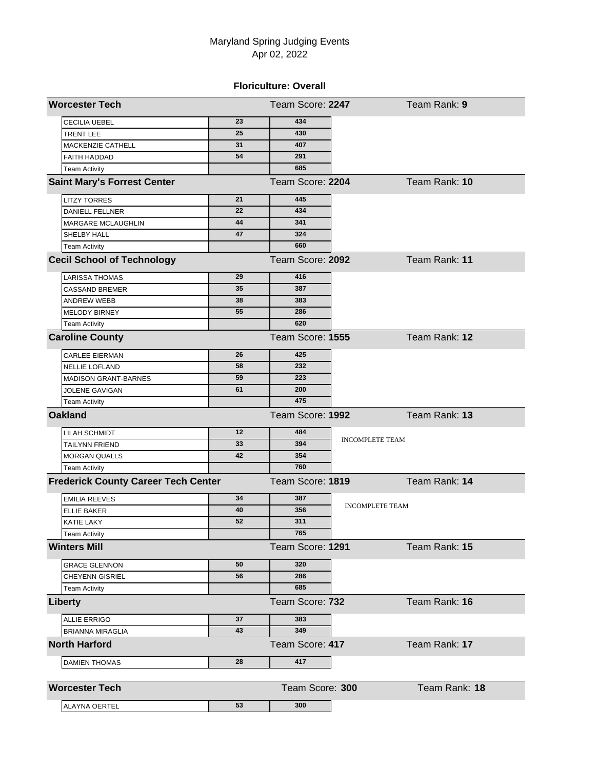### **Floriculture: Overall**

| <b>Worcester Tech</b>                      |    | Team Score: 2247              | Team Rank: 9           |
|--------------------------------------------|----|-------------------------------|------------------------|
| CECILIA UEBEL                              | 23 | 434                           |                        |
| <b>TRENT LEE</b>                           | 25 | 430                           |                        |
| MACKENZIE CATHELL                          | 31 | 407                           |                        |
| <b>FAITH HADDAD</b>                        | 54 | 291                           |                        |
| <b>Team Activity</b>                       |    | 685                           |                        |
| <b>Saint Mary's Forrest Center</b>         |    | Team Score: 2204              | Team Rank: 10          |
| <b>LITZY TORRES</b>                        | 21 | 445                           |                        |
| <b>DANIELL FELLNER</b>                     | 22 | 434                           |                        |
| MARGARE MCLAUGHLIN                         | 44 | 341                           |                        |
| SHELBY HALL                                | 47 | 324                           |                        |
| <b>Team Activity</b>                       |    | 660                           |                        |
| <b>Cecil School of Technology</b>          |    | Team Score: 2092              | Team Rank: 11          |
| LARISSA THOMAS                             | 29 | 416                           |                        |
| <b>CASSAND BREMER</b>                      | 35 | 387                           |                        |
| <b>ANDREW WEBB</b>                         | 38 | 383                           |                        |
| MELODY BIRNEY                              | 55 | 286                           |                        |
| <b>Team Activity</b>                       |    | 620                           |                        |
| <b>Caroline County</b>                     |    | Team Score: 1555              | Team Rank: 12          |
| <b>CARLEE EIERMAN</b>                      | 26 | 425                           |                        |
| <b>NELLIE LOFLAND</b>                      | 58 | 232                           |                        |
| <b>MADISON GRANT-BARNES</b>                | 59 | 223                           |                        |
| JOLENE GAVIGAN                             | 61 | 200                           |                        |
| <b>Team Activity</b>                       |    | 475                           |                        |
| <b>Oakland</b>                             |    | Team Score: 1992              | Team Rank: 13          |
| LILAH SCHMIDT                              | 12 | 484                           |                        |
| TAILYNN FRIEND                             | 33 | <b>INCOMPLETE TEAM</b><br>394 |                        |
| <b>MORGAN QUALLS</b>                       | 42 | 354                           |                        |
| <b>Team Activity</b>                       |    | 760                           |                        |
| <b>Frederick County Career Tech Center</b> |    | Team Score: 1819              | Team Rank: 14          |
| <b>EMILIA REEVES</b>                       | 34 | 387                           |                        |
| <b>ELLIE BAKER</b>                         | 40 | 356                           | <b>INCOMPLETE TEAM</b> |
| KATIE LAKY                                 | 52 | 311                           |                        |
| Team Activity                              |    | 765                           |                        |
| <b>Winters Mill</b>                        |    | Team Score: 1291              | Team Rank: 15          |
| <b>GRACE GLENNON</b>                       | 50 | 320                           |                        |
| <b>CHEYENN GISRIEL</b>                     | 56 | 286                           |                        |
| <b>Team Activity</b>                       |    | 685                           |                        |
| Liberty                                    |    | Team Score: 732               | Team Rank: 16          |
| <b>ALLIE ERRIGO</b>                        | 37 | 383                           |                        |
| <b>BRIANNA MIRAGLIA</b>                    | 43 | 349                           |                        |
| <b>North Harford</b>                       |    | Team Score: 417               | Team Rank: 17          |
| <b>DAMIEN THOMAS</b>                       | 28 | 417                           |                        |
|                                            |    |                               |                        |
| <b>Worcester Tech</b>                      |    | Team Score: 300               | Team Rank: 18          |
| ALAYNA OERTEL                              | 53 | 300                           |                        |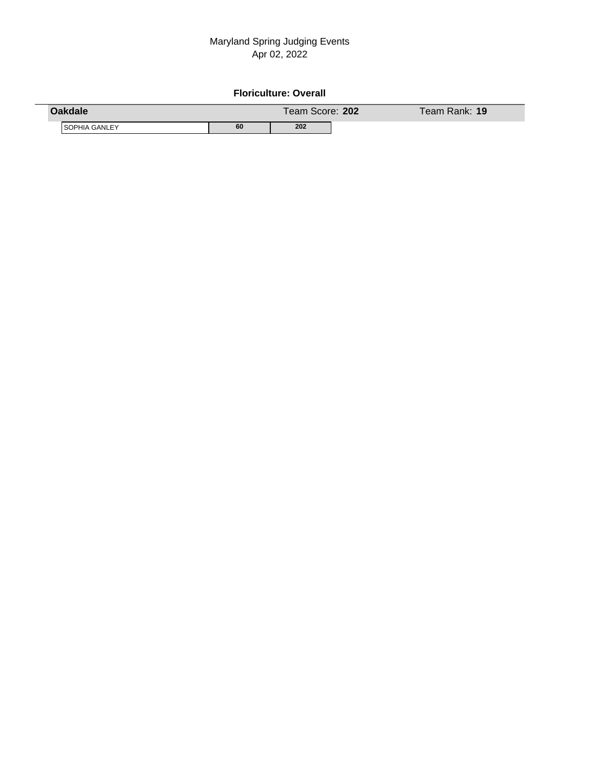### **Floriculture: Overall**

| <b>Oakdale</b>       |    | Team Score: 202 | Team Rank: <b>19</b> ' |
|----------------------|----|-----------------|------------------------|
| <b>SOPHIA GANLEY</b> | 60 | 202             |                        |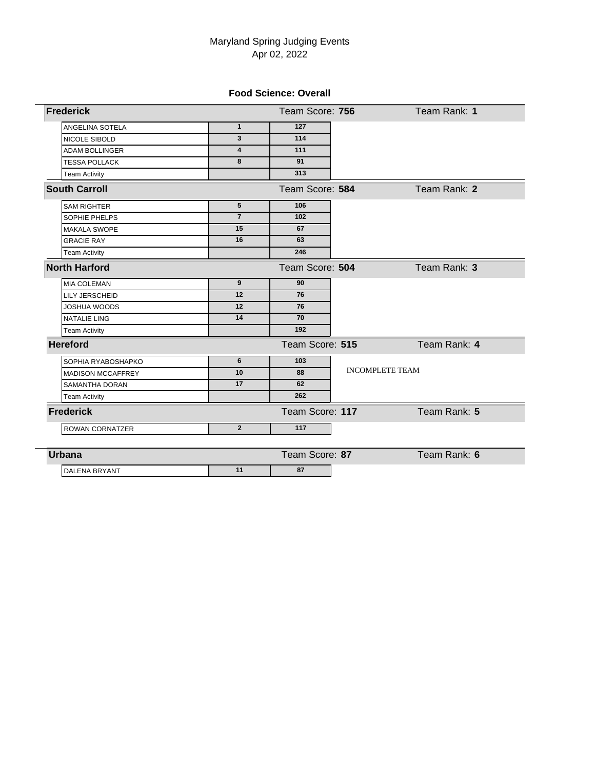### **Food Science: Overall**

| <b>Frederick</b>         |                         | Team Score: 756              | Team Rank: 1 |
|--------------------------|-------------------------|------------------------------|--------------|
| ANGELINA SOTELA          | $\mathbf{1}$            | 127                          |              |
| <b>NICOLE SIBOLD</b>     | 3                       | 114                          |              |
| <b>ADAM BOLLINGER</b>    | $\overline{\mathbf{4}}$ | 111                          |              |
| <b>TESSA POLLACK</b>     | 8                       | 91                           |              |
| <b>Team Activity</b>     |                         | 313                          |              |
| <b>South Carroll</b>     |                         | Team Score: 584              | Team Rank: 2 |
| <b>SAM RIGHTER</b>       | $5\phantom{.0}$         | 106                          |              |
| SOPHIE PHELPS            | $\overline{7}$          | 102                          |              |
| <b>MAKALA SWOPE</b>      | 15                      | 67                           |              |
| <b>GRACIE RAY</b>        | 16                      | 63                           |              |
| <b>Team Activity</b>     |                         | 246                          |              |
| <b>North Harford</b>     |                         | Team Score: 504              | Team Rank: 3 |
| <b>MIA COLEMAN</b>       | 9                       | 90                           |              |
| <b>LILY JERSCHEID</b>    | 12                      | 76                           |              |
| <b>JOSHUA WOODS</b>      | 12                      | 76                           |              |
| <b>NATALIE LING</b>      | 14                      | 70                           |              |
| <b>Team Activity</b>     |                         | 192                          |              |
| <b>Hereford</b>          |                         | Team Score: 515              | Team Rank: 4 |
| SOPHIA RYABOSHAPKO       | 6                       | 103                          |              |
| <b>MADISON MCCAFFREY</b> | 10                      | <b>INCOMPLETE TEAM</b><br>88 |              |
| <b>SAMANTHA DORAN</b>    | 17                      | 62                           |              |
| <b>Team Activity</b>     |                         | 262                          |              |
| <b>Frederick</b>         |                         | Team Score: 117              | Team Rank: 5 |
| ROWAN CORNATZER          | $\overline{2}$          | 117                          |              |
| <b>Urbana</b>            |                         | Team Score: 87               | Team Rank: 6 |
| <b>DALENA BRYANT</b>     | 11                      | 87                           |              |
|                          |                         |                              |              |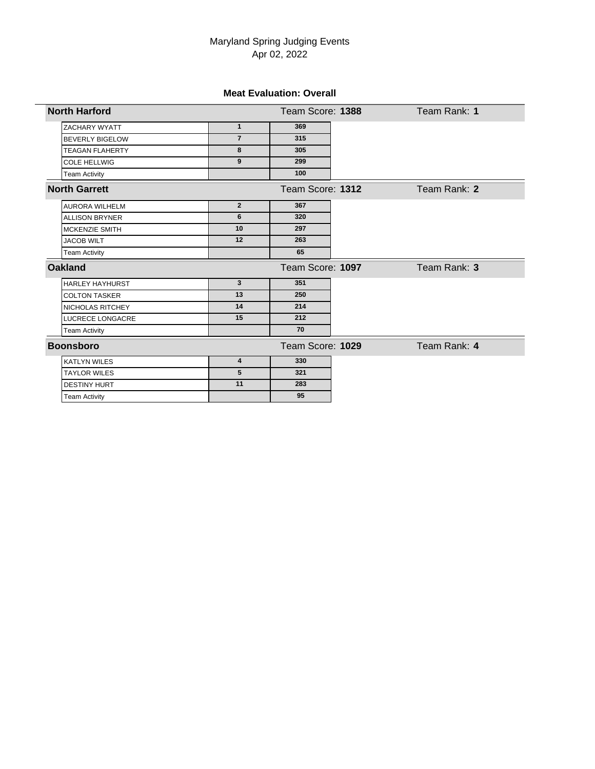### **Meat Evaluation: Overall**

| <b>North Harford</b>   |                | Team Score: 1388 | Team Rank: 1 |
|------------------------|----------------|------------------|--------------|
| ZACHARY WYATT          | $\mathbf{1}$   | 369              |              |
| <b>BEVERLY BIGELOW</b> | $\overline{7}$ | 315              |              |
| <b>TEAGAN FLAHERTY</b> | 8              | 305              |              |
| <b>COLE HELLWIG</b>    | 9              | 299              |              |
| <b>Team Activity</b>   |                | 100              |              |
| <b>North Garrett</b>   |                | Team Score: 1312 | Team Rank: 2 |
| <b>AURORA WILHELM</b>  | $\overline{2}$ | 367              |              |
| <b>ALLISON BRYNER</b>  | 6              | 320              |              |
| <b>MCKENZIE SMITH</b>  | 10             | 297              |              |
| <b>JACOB WILT</b>      | 12             | 263              |              |
| <b>Team Activity</b>   |                | 65               |              |
| <b>Oakland</b>         |                | Team Score: 1097 | Team Rank: 3 |
| <b>HARLEY HAYHURST</b> | 3              | 351              |              |
| <b>COLTON TASKER</b>   | 13             | 250              |              |
| NICHOLAS RITCHEY       | 14             | 214              |              |
| LUCRECE LONGACRE       | 15             | 212              |              |
| <b>Team Activity</b>   |                | 70               |              |
| <b>Boonsboro</b>       |                | Team Score: 1029 | Team Rank: 4 |
| <b>KATLYN WILES</b>    | 4              | 330              |              |
| <b>TAYLOR WILES</b>    | 5              | 321              |              |
| <b>DESTINY HURT</b>    | 11             | 283              |              |
| <b>Team Activity</b>   |                | 95               |              |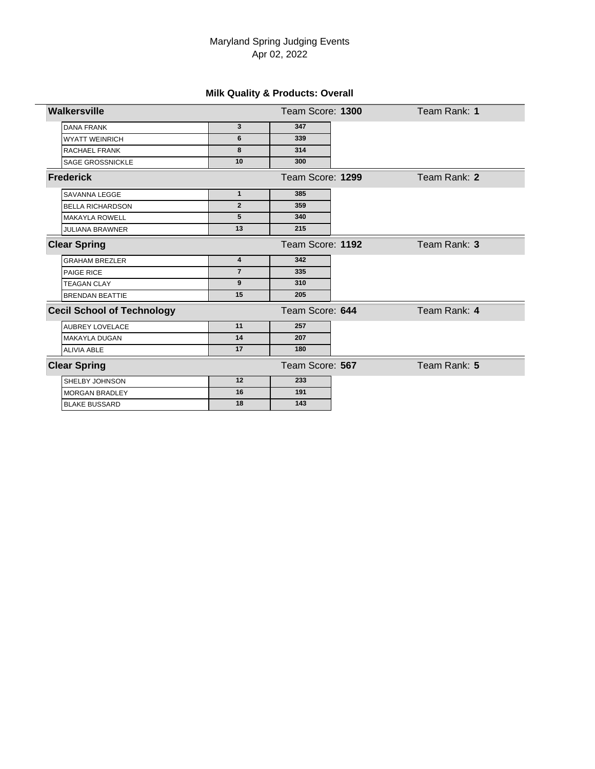# **Milk Quality & Products: Overall**

| Walkersville                      |                         | Team Score: 1300 | Team Rank: 1 |
|-----------------------------------|-------------------------|------------------|--------------|
| <b>DANA FRANK</b>                 | 3                       | 347              |              |
| <b>WYATT WEINRICH</b>             | 6                       | 339              |              |
| RACHAEL FRANK                     | 8                       | 314              |              |
| SAGE GROSSNICKLE                  | 10                      | 300              |              |
| <b>Frederick</b>                  |                         | Team Score: 1299 | Team Rank: 2 |
| SAVANNA LEGGE                     | $\mathbf{1}$            | 385              |              |
| <b>BELLA RICHARDSON</b>           | $\overline{2}$          | 359              |              |
| <b>MAKAYLA ROWELL</b>             | $5\phantom{.0}$         | 340              |              |
| <b>JULIANA BRAWNER</b>            | 13                      | 215              |              |
| <b>Clear Spring</b>               |                         | Team Score: 1192 | Team Rank: 3 |
| <b>GRAHAM BREZLER</b>             | $\overline{\mathbf{4}}$ | 342              |              |
| PAIGE RICE                        | $\overline{7}$          | 335              |              |
| <b>TEAGAN CLAY</b>                | 9                       | 310              |              |
| <b>BRENDAN BEATTIE</b>            | 15                      | 205              |              |
| <b>Cecil School of Technology</b> |                         | Team Score: 644  | Team Rank: 4 |
| <b>AUBREY LOVELACE</b>            | 11                      | 257              |              |
| <b>MAKAYLA DUGAN</b>              | 14                      | 207              |              |
| <b>ALIVIA ABLE</b>                | 17                      | 180              |              |
| <b>Clear Spring</b>               |                         | Team Score: 567  | Team Rank: 5 |
| SHELBY JOHNSON                    | 12                      | 233              |              |
| <b>MORGAN BRADLEY</b>             | 16                      | 191              |              |
| <b>BLAKE BUSSARD</b>              | 18                      | 143              |              |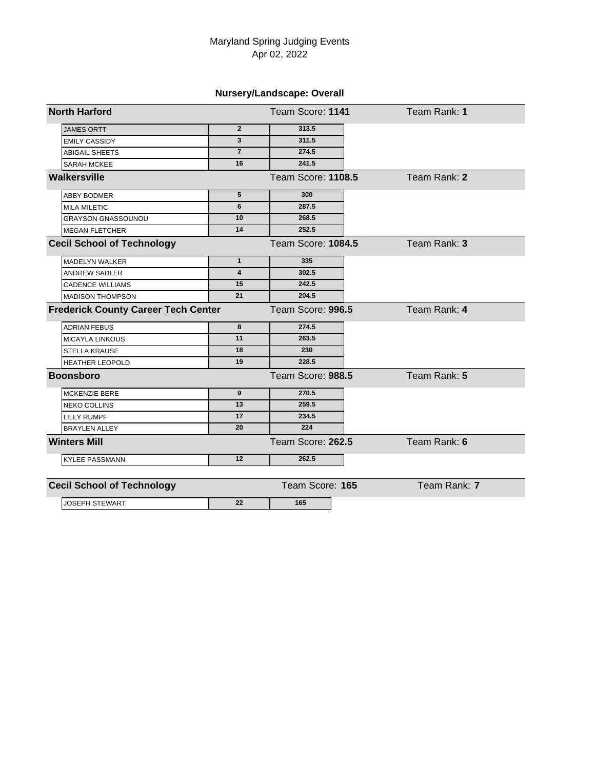# **Nursery/Landscape: Overall**

| <b>North Harford</b>                       |                         | Team Score: 1141   | Team Rank: 1 |
|--------------------------------------------|-------------------------|--------------------|--------------|
| <b>JAMES ORTT</b>                          | $\overline{2}$          | 313.5              |              |
| <b>EMILY CASSIDY</b>                       | 3                       | 311.5              |              |
| <b>ABIGAIL SHEETS</b>                      | $\overline{7}$          | 274.5              |              |
| SARAH MCKEE                                | 16                      | 241.5              |              |
| Walkersville                               |                         | Team Score: 1108.5 | Team Rank: 2 |
| <b>ABBY BODMER</b>                         | 5                       | 300                |              |
| <b>MILA MILETIC</b>                        | 6                       | 287.5              |              |
| GRAYSON GNASSOUNOU                         | 10                      | 268.5              |              |
| <b>MEGAN FLETCHER</b>                      | 14                      | 252.5              |              |
| <b>Cecil School of Technology</b>          |                         | Team Score: 1084.5 | Team Rank: 3 |
| <b>MADELYN WALKER</b>                      | $\mathbf{1}$            | 335                |              |
| <b>ANDREW SADLER</b>                       | $\overline{\mathbf{4}}$ | 302.5              |              |
| <b>CADENCE WILLIAMS</b>                    | 15                      | 242.5              |              |
| <b>MADISON THOMPSON</b>                    | 21                      | 204.5              |              |
| <b>Frederick County Career Tech Center</b> |                         | Team Score: 996.5  | Team Rank: 4 |
| <b>ADRIAN FEBUS</b>                        | 8                       | 274.5              |              |
| <b>MICAYLA LINKOUS</b>                     | 11                      | 263.5              |              |
| <b>STELLA KRAUSE</b>                       | 18                      | 230                |              |
| <b>HEATHER LEOPOLD</b>                     | 19                      | 228.5              |              |
| <b>Boonsboro</b>                           |                         | Team Score: 988.5  | Team Rank: 5 |
| MCKENZIE BERE                              | 9                       | 270.5              |              |
| <b>NEKO COLLINS</b>                        | 13                      | 259.5              |              |
| <b>LILLY RUMPF</b>                         | 17                      | 234.5              |              |
| <b>BRAYLEN ALLEY</b>                       | 20                      | 224                |              |
| <b>Winters Mill</b>                        |                         | Team Score: 262.5  | Team Rank: 6 |
| <b>KYLEE PASSMANN</b>                      | 12                      | 262.5              |              |
| <b>Cecil School of Technology</b>          |                         | Team Score: 165    | Team Rank: 7 |
| <b>JOSEPH STEWART</b>                      | 22                      | 165                |              |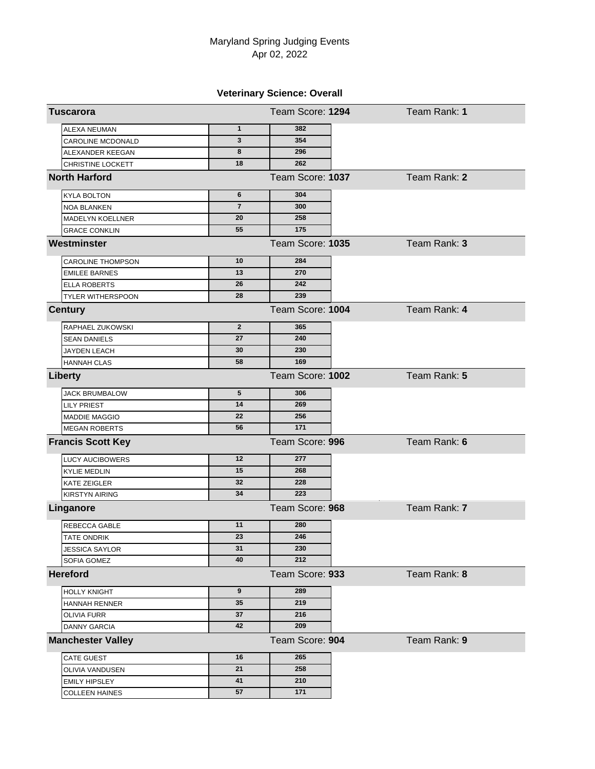# **Veterinary Science: Overall**

| <b>Tuscarora</b>         |                | Team Score: 1294 | Team Rank: 1 |
|--------------------------|----------------|------------------|--------------|
| <b>ALEXA NEUMAN</b>      | $\mathbf{1}$   | 382              |              |
| CAROLINE MCDONALD        | 3              | 354              |              |
| ALEXANDER KEEGAN         | 8              | 296              |              |
| CHRISTINE LOCKETT        | 18             | 262              |              |
| <b>North Harford</b>     |                | Team Score: 1037 | Team Rank: 2 |
| <b>KYLA BOLTON</b>       | 6              | 304              |              |
| NOA BLANKEN              | $\overline{7}$ | 300              |              |
| <b>MADELYN KOELLNER</b>  | 20             | 258              |              |
| <b>GRACE CONKLIN</b>     | 55             | 175              |              |
| Westminster              |                | Team Score: 1035 | Team Rank: 3 |
| <b>CAROLINE THOMPSON</b> | 10             | 284              |              |
| <b>EMILEE BARNES</b>     | 13             | 270              |              |
| <b>ELLA ROBERTS</b>      | 26             | 242              |              |
| <b>TYLER WITHERSPOON</b> | 28             | 239              |              |
| <b>Century</b>           |                | Team Score: 1004 | Team Rank: 4 |
| RAPHAEL ZUKOWSKI         | $\overline{2}$ | 365              |              |
| <b>SEAN DANIELS</b>      | 27             | 240              |              |
| JAYDEN LEACH             | 30             | 230              |              |
| <b>HANNAH CLAS</b>       | 58             | 169              |              |
| <b>Liberty</b>           |                | Team Score: 1002 | Team Rank: 5 |
| <b>JACK BRUMBALOW</b>    | 5              | 306              |              |
| LILY PRIEST              | 14             | 269              |              |
| <b>MADDIE MAGGIO</b>     | 22             | 256              |              |
| <b>MEGAN ROBERTS</b>     | 56             | 171              |              |
| <b>Francis Scott Key</b> |                | Team Score: 996  | Team Rank: 6 |
| <b>LUCY AUCIBOWERS</b>   | 12             | 277              |              |
| <b>KYLIE MEDLIN</b>      | 15             | 268              |              |
| KATE ZEIGLER             | 32             | 228              |              |
| <b>KIRSTYN AIRING</b>    | 34             | 223              |              |
| Linganore                |                | Team Score: 968  | Team Rank: 7 |
| REBECCA GABLE            | 11             | 280              |              |
| TATE ONDRIK              | 23             | 246              |              |
| <b>JESSICA SAYLOR</b>    | 31             | 230              |              |
| SOFIA GOMEZ              | 40             | 212              |              |
| <b>Hereford</b>          |                | Team Score: 933  | Team Rank: 8 |
| <b>HOLLY KNIGHT</b>      | 9              | 289              |              |
| HANNAH RENNER            | 35             | 219              |              |
| OLIVIA FURR              | 37             | 216              |              |
| <b>DANNY GARCIA</b>      | 42             | 209              |              |
| <b>Manchester Valley</b> |                | Team Score: 904  | Team Rank: 9 |
| CATE GUEST               | 16             | 265              |              |
| OLIVIA VANDUSEN          | 21             | 258              |              |
| <b>EMILY HIPSLEY</b>     | 41             | 210              |              |
| <b>COLLEEN HAINES</b>    | 57             | 171              |              |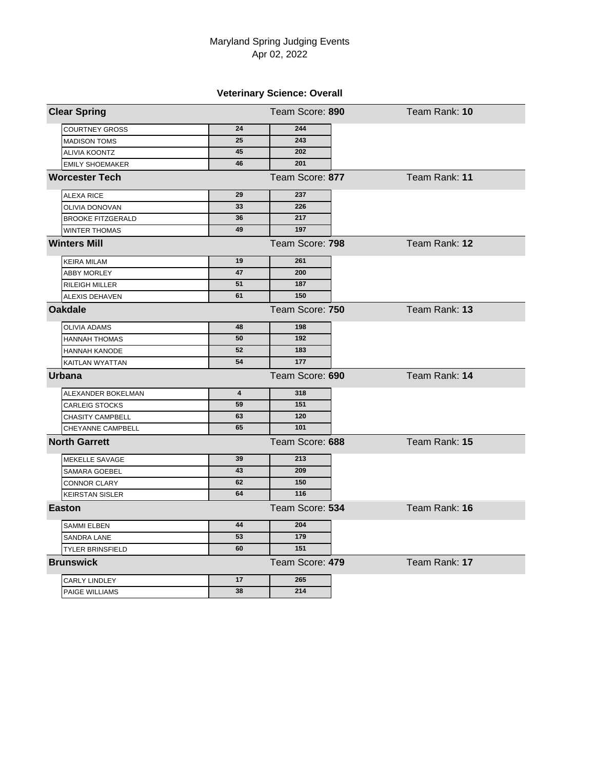# **Veterinary Science: Overall**

| <b>Clear Spring</b>      |                         | Team Score: 890 | Team Rank: 10 |
|--------------------------|-------------------------|-----------------|---------------|
| <b>COURTNEY GROSS</b>    | 24                      | 244             |               |
| <b>MADISON TOMS</b>      | 25                      | 243             |               |
| <b>ALIVIA KOONTZ</b>     | 45                      | 202             |               |
| <b>EMILY SHOEMAKER</b>   | 46                      | 201             |               |
| <b>Worcester Tech</b>    |                         | Team Score: 877 | Team Rank: 11 |
| <b>ALEXA RICE</b>        | 29                      | 237             |               |
| OLIVIA DONOVAN           | 33                      | 226             |               |
| <b>BROOKE FITZGERALD</b> | 36                      | 217             |               |
| WINTER THOMAS            | 49                      | 197             |               |
| <b>Winters Mill</b>      |                         | Team Score: 798 | Team Rank: 12 |
| <b>KEIRA MILAM</b>       | 19                      | 261             |               |
| <b>ABBY MORLEY</b>       | 47                      | 200             |               |
| RILEIGH MILLER           | 51                      | 187             |               |
| <b>ALEXIS DEHAVEN</b>    | 61                      | 150             |               |
| <b>Oakdale</b>           |                         | Team Score: 750 | Team Rank: 13 |
| <b>OLIVIA ADAMS</b>      | 48                      | 198             |               |
| <b>HANNAH THOMAS</b>     | 50                      | 192             |               |
| <b>HANNAH KANODE</b>     | 52                      | 183             |               |
| KAITLAN WYATTAN          | 54                      | 177             |               |
| <b>Urbana</b>            |                         | Team Score: 690 | Team Rank: 14 |
| ALEXANDER BOKELMAN       | $\overline{\mathbf{4}}$ | 318             |               |
| <b>CARLEIG STOCKS</b>    | 59                      | 151             |               |
| <b>CHASITY CAMPBELL</b>  | 63                      | 120             |               |
| CHEYANNE CAMPBELL        | 65                      | 101             |               |
| <b>North Garrett</b>     |                         | Team Score: 688 | Team Rank: 15 |
| MEKELLE SAVAGE           | 39                      | 213             |               |
| <b>SAMARA GOEBEL</b>     | 43                      | 209             |               |
| <b>CONNOR CLARY</b>      | 62                      | 150             |               |
| <b>KEIRSTAN SISLER</b>   | 64                      | 116             |               |
| <b>Easton</b>            |                         | Team Score: 534 | Team Rank: 16 |
| <b>SAMMI ELBEN</b>       | 44                      | 204             |               |
| SANDRA LANE              | 53                      | 179             |               |
| <b>TYLER BRINSFIELD</b>  | 60                      | 151             |               |
| <b>Brunswick</b>         |                         | Team Score: 479 | Team Rank: 17 |
| CARLY LINDLEY            | 17                      | 265             |               |
| PAIGE WILLIAMS           | 38                      | 214             |               |
|                          |                         |                 |               |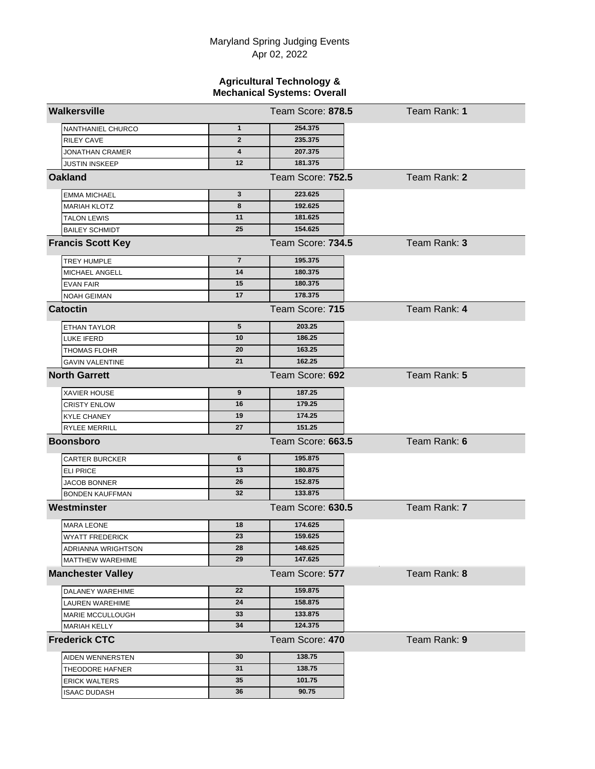#### **Agricultural Technology & Mechanical Systems: Overall**

| Walkersville             |                 | Team Score: 878.5 | Team Rank: 1 |
|--------------------------|-----------------|-------------------|--------------|
| NANTHANIEL CHURCO        | $\mathbf{1}$    | 254.375           |              |
| <b>RILEY CAVE</b>        | $\mathbf{2}$    | 235.375           |              |
| <b>JONATHAN CRAMER</b>   | 4               | 207.375           |              |
| <b>JUSTIN INSKEEP</b>    | 12              | 181.375           |              |
| <b>Oakland</b>           |                 | Team Score: 752.5 | Team Rank: 2 |
| <b>EMMA MICHAEL</b>      | 3               | 223.625           |              |
| <b>MARIAH KLOTZ</b>      | 8               | 192.625           |              |
| <b>TALON LEWIS</b>       | 11              | 181.625           |              |
| <b>BAILEY SCHMIDT</b>    | 25              | 154.625           |              |
| <b>Francis Scott Key</b> |                 | Team Score: 734.5 | Team Rank: 3 |
| TREY HUMPLE              | $\overline{7}$  | 195.375           |              |
| MICHAEL ANGELL           | 14              | 180.375           |              |
| <b>EVAN FAIR</b>         | 15              | 180.375           |              |
| <b>NOAH GEIMAN</b>       | 17              | 178.375           |              |
| <b>Catoctin</b>          |                 | Team Score: 715   | Team Rank: 4 |
| ETHAN TAYLOR             | $5\phantom{.0}$ | 203.25            |              |
| LUKE IFERD               | 10              | 186.25            |              |
| <b>THOMAS FLOHR</b>      | 20              | 163.25            |              |
| <b>GAVIN VALENTINE</b>   | 21              | 162.25            |              |
| <b>North Garrett</b>     |                 | Team Score: 692   | Team Rank: 5 |
| XAVIER HOUSE             | 9               | 187.25            |              |
| <b>CRISTY ENLOW</b>      | 16              | 179.25            |              |
| <b>KYLE CHANEY</b>       | 19              | 174.25            |              |
| <b>RYLEE MERRILL</b>     | 27              | 151.25            |              |
| <b>Boonsboro</b>         |                 | Team Score: 663.5 | Team Rank: 6 |
| <b>CARTER BURCKER</b>    | 6               | 195.875           |              |
| <b>ELI PRICE</b>         | 13              | 180.875           |              |
| <b>JACOB BONNER</b>      | 26              | 152.875           |              |
| <b>BONDEN KAUFFMAN</b>   | 32              | 133.875           |              |
| Westminster              |                 | Team Score: 630.5 | Team Rank: 7 |
| <b>MARA LEONE</b>        | 18              | 174.625           |              |
| <b>WYATT FREDERICK</b>   | 23              | 159.625           |              |
| ADRIANNA WRIGHTSON       | 28              | 148.625           |              |
| MATTHEW WAREHIME         | 29              | 147.625           |              |
| <b>Manchester Valley</b> |                 | Team Score: 577   | Team Rank: 8 |
| DALANEY WAREHIME         | 22              | 159.875           |              |
| LAUREN WAREHIME          | 24              | 158.875           |              |
| MARIE MCCULLOUGH         | 33              | 133.875           |              |
| MARIAH KELLY             | 34              | 124.375           |              |
| <b>Frederick CTC</b>     |                 | Team Score: 470   | Team Rank: 9 |
| AIDEN WENNERSTEN         | 30              | 138.75            |              |
| THEODORE HAFNER          | 31              | 138.75            |              |
| <b>ERICK WALTERS</b>     | 35              | 101.75            |              |
| <b>ISAAC DUDASH</b>      | 36              | 90.75             |              |